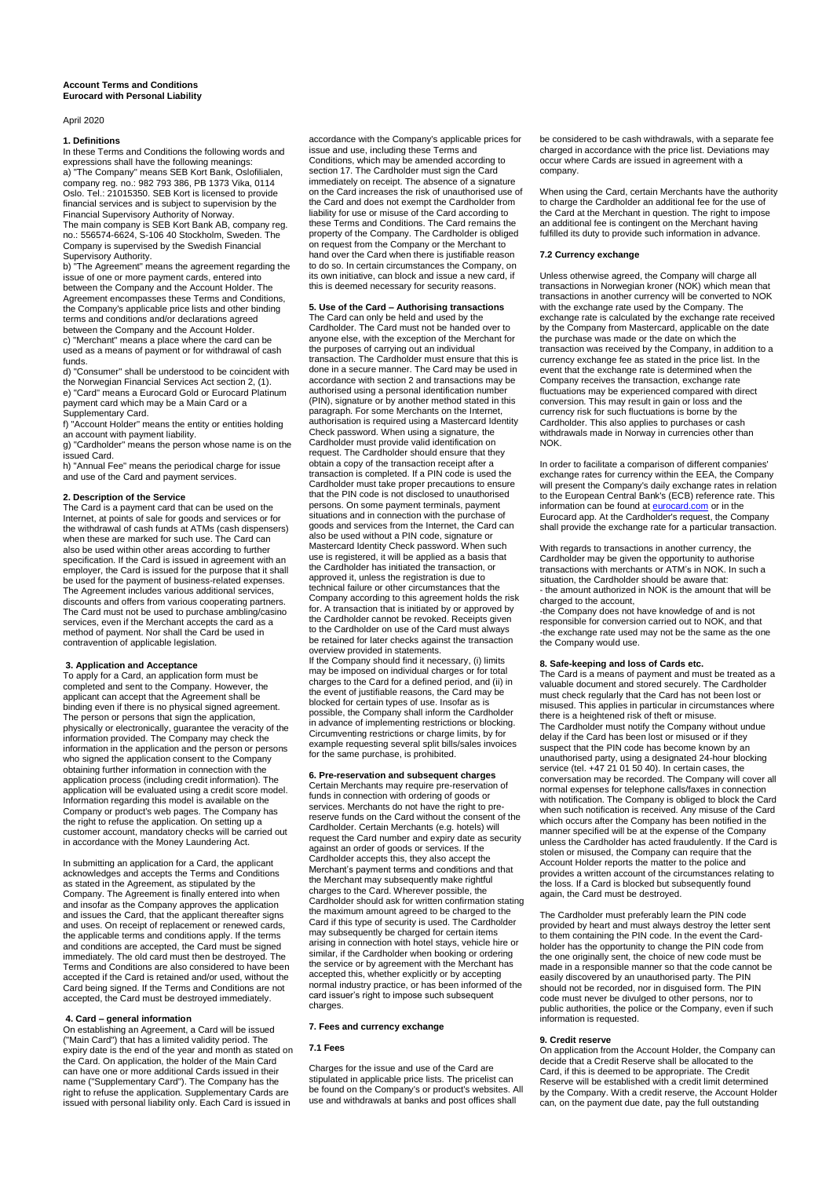#### **Account Terms and Conditions Eurocard with Personal Liability**

#### April 2020

# **1. Definitions**

In these Terms and Conditions the following words and expressions shall have the following meanings: a) "The Company" means SEB Kort Bank, Oslofilialen, company reg. no.: 982 793 386, PB 1373 Vika, 0114 Oslo. Tel.: 21015350. SEB Kort is licensed to provide financial services and is subject to supervision by the

Financial Supervisory Authority of Norway. The main company is SEB Kort Bank AB, company reg. no.: 556574-6624, S-106 40 Stockholm, Sweden. The Company is supervised by the Swedish Financial Supervisory Authority.

b) "The Agreement" means the agreement regarding the issue of one or more payment cards, entered into between the Company and the Account Holder. The Agreement encompasses these Terms and Conditions, the Company's applicable price lists and other binding terms and conditions and/or declarations agreed between the Company and the Account Holder.

c) "Merchant" means a place where the card can be used as a means of payment or for withdrawal of cash funds.

d) "Consumer" shall be understood to be coincident with the Norwegian Financial Services Act section 2, (1). e) "Card" means a Eurocard Gold or Eurocard Platinum payment card which may be a Main Card or a Supplementary Card.

f) "Account Holder" means the entity or entities holding an account with payment liability.

g) "Cardholder" means the person whose name is on the issued Card.

h) "Annual Fee" means the periodical charge for issue and use of the Card and payment services.

### **2. Description of the Service**

The Card is a payment card that can be used on the Internet, at points of sale for goods and services or for the withdrawal of cash funds at ATMs (cash dispensers) when these are marked for such use. The Card can also be used within other areas according to further specification. If the Card is issued in agreement with an employer, the Card is issued for the purpose that it shall be used for the payment of business-related expenses. The Agreement includes various additional services, discounts and offers from various cooperating partners. The Card must not be used to purchase ambling/casino services, even if the Merchant accepts the card as a method of payment. Nor shall the Card be used in contravention of applicable legislation.

**3. Application and Acceptance**  To apply for a Card, an application form must be completed and sent to the Company. However, the applicant can accept that the Agreement shall be binding even if there is no physical signed agreement. The person or persons that sign the application, physically or electronically, guarantee the veracity of the information provided. The Company may check the information in the application and the person or persons who signed the application consent to the Company obtaining further information in connection with the application process (including credit information). The application will be evaluated using a credit score model. Information regarding this model is available on the Company or product's web pages. The Company has the right to refuse the application. On setting up a customer account, mandatory checks will be carried out in accordance with the Money Laundering Act.

In submitting an application for a Card, the applicant acknowledges and accepts the Terms and Conditions as stated in the Agreement, as stipulated by the Company. The Agreement is finally entered into when and insofar as the Company approves the application and issues the Card, that the applicant thereafter signs and uses. On receipt of replacement or renewed cards, the applicable terms and conditions apply. If the terms and conditions are accepted, the Card must be signed immediately. The old card must then be destroyed. The Terms and Conditions are also considered to have been accepted if the Card is retained and/or used, without the Card being signed. If the Terms and Conditions are not accepted, the Card must be destroyed immediately.

# **4. Card – general information**

On establishing an Agreement, a Card will be issued ("Main Card") that has a limited validity period. The expiry date is the end of the year and month as stated on the Card. On application, the holder of the Main Card can have one or more additional Cards issued in their name ("Supplementary Card"). The Company has the right to refuse the application. Supplementary Cards are issued with personal liability only. Each Card is issued in

accordance with the Company's applicable prices for issue and use, including these Terms and Conditions, which may be amended according to section 17. The Cardholder must sign the Card immediately on receipt. The absence of a signature on the Card increases the risk of unauthorised use of the Card and does not exempt the Cardholder from liability for use or misuse of the Card according to these Terms and Conditions. The Card remains the property of the Company. The Cardholder is obliged on request from the Company or the Merchant to hand over the Card when there is justifiable reason to do so. In certain circumstances the Company, on its own initiative, can block and issue a new card, if this is deemed necessary for security reasons.

# **5. Use of the Card – Authorising transactions**

The Card can only be held and used by the Cardholder. The Card must not be handed over to anyone else, with the exception of the Merchant for the purposes of carrying out an individual transaction. The Cardholder must ensure that this is done in a secure manner. The Card may be used in accordance with section 2 and transactions may be authorised using a personal identification number (PIN), signature or by another method stated in this paragraph. For some Merchants on the Internet, authorisation is required using a Mastercard Identity Check password. When using a signature, the Cardholder must provide valid identification on request. The Cardholder should ensure that they obtain a copy of the transaction receipt after a transaction is completed. If a PIN code is used the Cardholder must take proper precautions to ensure that the PIN code is not disclosed to unauthorised persons. On some payment terminals, payment situations and in connection with the purchase of goods and services from the Internet, the Card can also be used without a PIN code, signature or Mastercard Identity Check password. When such use is registered, it will be applied as a basis that the Cardholder has initiated the transaction, or approved it, unless the registration is due to technical failure or other circumstances that the Company according to this agreement holds the risk for. A transaction that is initiated by or approved by the Cardholder cannot be revoked. Receipts given to the Cardholder on use of the Card must always be retained for later checks against the transaction overview provided in statements.

If the Company should find it necessary, (i) limits may be imposed on individual charges or for total charges to the Card for a defined period, and (ii) in the event of justifiable reasons, the Card may be blocked for certain types of use. Insofar as is possible, the Company shall inform the Cardholder in advance of implementing restrictions or blocking. Circumventing restrictions or charge limits, by for example requesting several split bills/sales invoices for the same purchase, is prohibited.

**6. Pre-reservation and subsequent charges**  Certain Merchants may require pre-reservation of funds in connection with ordering of goods or services. Merchants do not have the right to prereserve funds on the Card without the consent of the Cardholder. Certain Merchants (e.g. hotels) will request the Card number and expiry date as security against an order of goods or services. If the Cardholder accepts this, they also accept the Merchant's payment terms and conditions and that the Merchant may subsequently make rightful charges to the Card. Wherever possible, the Cardholder should ask for written confirmation stating the maximum amount agreed to be charged to the Card if this type of security is used. The Cardholder may subsequently be charged for certain items arising in connection with hotel stays, vehicle hire or similar, if the Cardholder when booking or ordering the service or by agreement with the Merchant has accepted this, whether explicitly or by accepting normal industry practice, or has been informed of the card issuer's right to impose such subsequent charges.

#### **7. Fees and currency exchange**

# **7.1 Fees**

Charges for the issue and use of the Card are stipulated in applicable price lists. The pricelist can be found on the Company's or product's websites. All use and withdrawals at banks and post offices shall

be considered to be cash withdrawals, with a separate fee charged in accordance with the price list. Deviations may occur where Cards are issued in agreement with a company.

When using the Card, certain Merchants have the authority to charge the Cardholder an additional fee for the use of the Card at the Merchant in question. The right to impose an additional fee is contingent on the Merchant having fulfilled its duty to provide such information in advance.

#### **7.2 Currency exchange**

Unless otherwise agreed, the Company will charge all transactions in Norwegian kroner (NOK) which mean that transactions in another currency will be converted to NOK with the exchange rate used by the Company. The exchange rate is calculated by the exchange rate received by the Company from Mastercard, applicable on the date the purchase was made or the date on which the transaction was received by the Company, in addition to a currency exchange fee as stated in the price list. In the event that the exchange rate is determined when the Company receives the transaction, exchange rate fluctuations may be experienced compared with direct conversion. This may result in gain or loss and the currency risk for such fluctuations is borne by the Cardholder. This also applies to purchases or cash withdrawals made in Norway in currencies other than NOK.

In order to facilitate a comparison of different companies' exchange rates for currency within the EEA, the Company will present the Company's daily exchange rates in relation to the European Central Bank's (ECB) reference rate. This information can be found at **eurocard.com** or in the Eurocard app. At the Cardholder's request, the Company shall provide the exchange rate for a particular transaction.

With regards to transactions in another currency, the Cardholder may be given the opportunity to authorise transactions with merchants or ATM's in NOK. In such a situation, the Cardholder should be aware that: - the amount authorized in NOK is the amount that will be charged to the account,

-the Company does not have knowledge of and is not responsible for conversion carried out to NOK, and that -the exchange rate used may not be the same as the one the Company would use.

### **8. Safe-keeping and loss of Cards etc.**

The Card is a means of payment and must be treated as a valuable document and stored securely. The Cardholder must check regularly that the Card has not been lost or misused. This applies in particular in circumstances where there is a heightened risk of theft or misuse. The Cardholder must notify the Company without undue delay if the Card has been lost or misused or if they suspect that the PIN code has become known by an unauthorised party, using a designated 24-hour blocking service (tel. +47 21 01 50 40). In certain cases, the conversation may be recorded. The Company will cover all normal expenses for telephone calls/faxes in connection with notification. The Company is obliged to block the Card when such notification is received. Any misuse of the Card which occurs after the Company has been notified in the manner specified will be at the expense of the Company unless the Cardholder has acted fraudulently. If the Card is stolen or misused, the Company can require that the Account Holder reports the matter to the police and provides a written account of the circumstances relating to the loss. If a Card is blocked but subsequently found again, the Card must be destroyed.

The Cardholder must preferably learn the PIN code provided by heart and must always destroy the letter sent to them containing the PIN code. In the event the Cardholder has the opportunity to change the PIN code from the one originally sent, the choice of new code must be made in a responsible manner so that the code cannot be easily discovered by an unauthorised party. The PIN should not be recorded, nor in disguised form. The PIN code must never be divulged to other persons, nor to public authorities, the police or the Company, even if such information is requested.

# **9. Credit reserve**

On application from the Account Holder, the Company can decide that a Credit Reserve shall be allocated to the Card, if this is deemed to be appropriate. The Credit Reserve will be established with a credit limit determined by the Company. With a credit reserve, the Account Holder can, on the payment due date, pay the full outstanding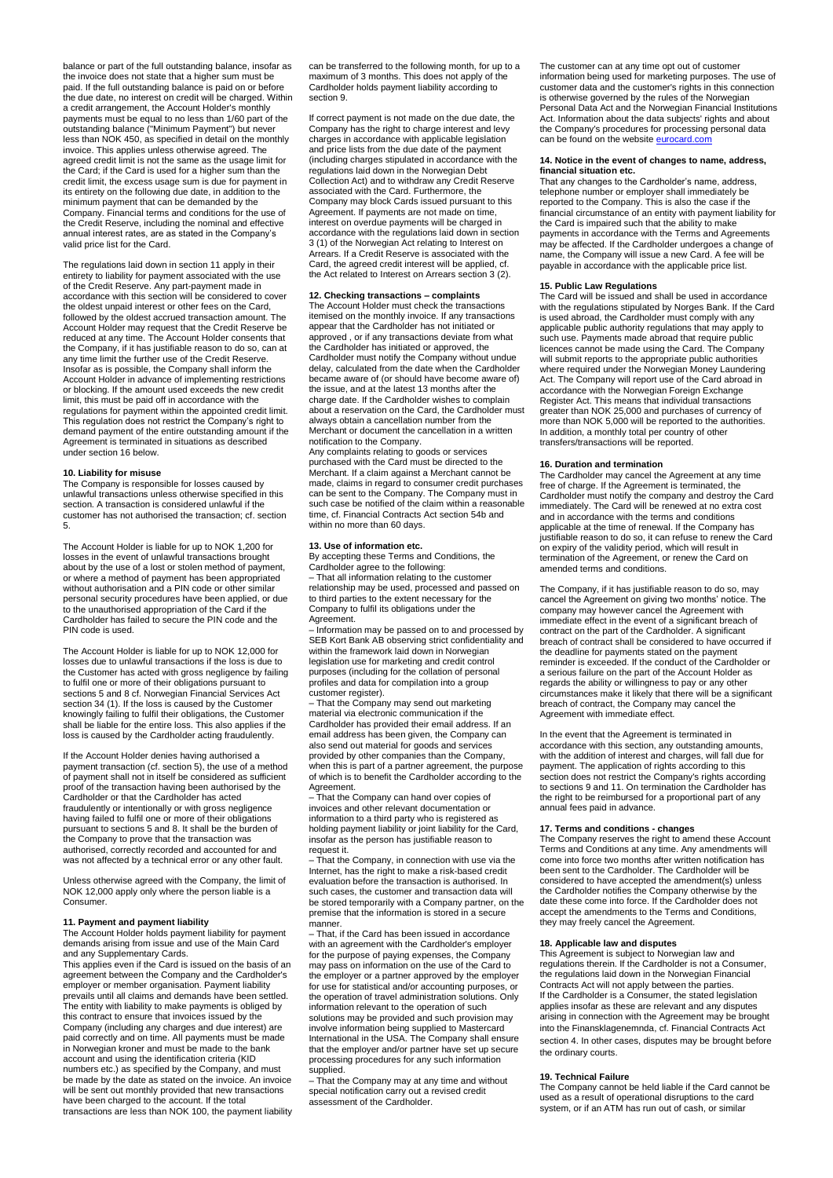balance or part of the full outstanding balance, insofar as the invoice does not state that a higher sum must be paid. If the full outstanding balance is paid on or before the due date, no interest on credit will be charged. Within a credit arrangement, the Account Holder's monthly payments must be equal to no less than 1/60 part of the outstanding balance ("Minimum Payment") but never less than NOK 450, as specified in detail on the monthly invoice. This applies unless otherwise agreed. The agreed credit limit is not the same as the usage limit for the Card; if the Card is used for a higher sum than the credit limit, the excess usage sum is due for payment in its entirety on the following due date, in addition to the minimum payment that can be demanded by the Company. Financial terms and conditions for the use of the Credit Reserve, including the nominal and effective annual interest rates, are as stated in the Company's valid price list for the Card.

The regulations laid down in section 11 apply in their entirety to liability for payment associated with the use of the Credit Reserve. Any part-payment made in accordance with this section will be considered to cover the oldest unpaid interest or other fees on the Card, followed by the oldest accrued transaction amount. The Account Holder may request that the Credit Reserve be reduced at any time. The Account Holder consents that the Company, if it has justifiable reason to do so, can at any time limit the further use of the Credit Reserve. Insofar as is possible, the Company shall inform the Account Holder in advance of implementing restrictions or blocking. If the amount used exceeds the new credit limit, this must be paid off in accordance with the regulations for payment within the appointed credit limit. This regulation does not restrict the Company's right to demand payment of the entire outstanding amount if the Agreement is terminated in situations as described under section 16 below.

### **10. Liability for misuse**

The Company is responsible for losses caused by unlawful transactions unless otherwise specified in this section. A transaction is considered unlawful if the customer has not authorised the transaction; cf. section 5.

The Account Holder is liable for up to NOK 1,200 for losses in the event of unlawful transactions brought about by the use of a lost or stolen method of payment, or where a method of payment has been appropriated without authorisation and a PIN code or other similar personal security procedures have been applied, or due to the unauthorised appropriation of the Card if the Cardholder has failed to secure the PIN code and the PIN code is used.

The Account Holder is liable for up to NOK 12,000 for losses due to unlawful transactions if the loss is due to the Customer has acted with gross negligence by failing to fulfil one or more of their obligations pursuant to sections 5 and 8 cf. Norwegian Financial Services Act section 34 (1). If the loss is caused by the Customer knowingly failing to fulfil their obligations, the Customer shall be liable for the entire loss. This also applies if the loss is caused by the Cardholder acting fraudulently.

If the Account Holder denies having authorised a payment transaction (cf. section 5), the use of a method of payment shall not in itself be considered as sufficient proof of the transaction having been authorised by the Cardholder or that the Cardholder has acted fraudulently or intentionally or with gross negligence having failed to fulfil one or more of their obligations pursuant to sections 5 and 8. It shall be the burden of the Company to prove that the transaction was authorised, correctly recorded and accounted for and was not affected by a technical error or any other fault.

Unless otherwise agreed with the Company, the limit of NOK 12,000 apply only where the person liable is a Consumer.

# **11. Payment and payment liability**

The Account Holder holds payment liability for payment demands arising from issue and use of the Main Card and any Supplementary Cards.

This applies even if the Card is issued on the basis of an agreement between the Company and the Cardholder's employer or member organisation. Payment liability prevails until all claims and demands have been settled. The entity with liability to make payments is obliged by this contract to ensure that invoices issued by the Company (including any charges and due interest) are paid correctly and on time. All payments must be made in Norwegian kroner and must be made to the bank account and using the identification criteria (KID numbers etc.) as specified by the Company, and must be made by the date as stated on the invoice. An invoice will be sent out monthly provided that new transactions have been charged to the account. If the total transactions are less than NOK 100, the payment liability

can be transferred to the following month, for up to a maximum of 3 months. This does not apply of the Cardholder holds payment liability according to section 9.

If correct payment is not made on the due date, the Company has the right to charge interest and levy charges in accordance with applicable legislation and price lists from the due date of the payment (including charges stipulated in accordance with the regulations laid down in the Norwegian Debt Collection Act) and to withdraw any Credit Reserve associated with the Card. Furthermore, the Company may block Cards issued pursuant to this Agreement. If payments are not made on time, interest on overdue payments will be charged in accordance with the regulations laid down in section 3 (1) of the Norwegian Act relating to Interest on Arrears. If a Credit Reserve is associated with the Card, the agreed credit interest will be applied, cf. the Act related to Interest on Arrears section 3 (2).

# **12. Checking transactions – complaints**

The Account Holder must check the transactions itemised on the monthly invoice. If any transactions appear that the Cardholder has not initiated or approved , or if any transactions deviate from what the Cardholder has initiated or approved, the Cardholder must notify the Company without undue delay, calculated from the date when the Cardholder became aware of (or should have become aware of) the issue, and at the latest 13 months after the charge date. If the Cardholder wishes to complain about a reservation on the Card, the Cardholder must always obtain a cancellation number from the Merchant or document the cancellation in a written notification to the Company.

Any complaints relating to goods or services purchased with the Card must be directed to the Merchant. If a claim against a Merchant cannot be made, claims in regard to consumer credit purchases can be sent to the Company. The Company must in such case be notified of the claim within a reasonable time, cf. Financial Contracts Act section 54b and within no more than 60 days.

# **13. Use of information etc.**

By accepting these Terms and Conditions, the Cardholder agree to the following:

– That all information relating to the customer relationship may be used, processed and passed on to third parties to the extent necessary for the Company to fulfil its obligations under the Agreement.

– Information may be passed on to and processed by SEB Kort Bank AB observing strict confidentiality and within the framework laid down in Norwegian legislation use for marketing and credit control purposes (including for the collation of personal profiles and data for compilation into a group customer register). – That the Company may send out marketing

material via electronic communication if the Cardholder has provided their email address. If an email address has been given, the Company can also send out material for goods and services provided by other companies than the Company, when this is part of a partner agreement, the purpose of which is to benefit the Cardholder according to the Agreement.

– That the Company can hand over copies of invoices and other relevant documentation or information to a third party who is registered as holding payment liability or joint liability for the Card, insofar as the person has justifiable reason to request it.

– That the Company, in connection with use via the Internet, has the right to make a risk-based credit evaluation before the transaction is authorised. In such cases, the customer and transaction data will be stored temporarily with a Company partner, on the premise that the information is stored in a secure manner.

– That, if the Card has been issued in accordance with an agreement with the Cardholder's employer for the purpose of paying expenses, the Company may pass on information on the use of the Card to the employer or a partner approved by the employer for use for statistical and/or accounting purposes, or the operation of travel administration solutions. Only information relevant to the operation of such solutions may be provided and such provision may involve information being supplied to Mastercard International in the USA. The Company shall ensure that the employer and/or partner have set up secure processing procedures for any such information supplied.

– That the Company may at any time and without special notification carry out a revised credit assessment of the Cardholder.

The customer can at any time opt out of customer information being used for marketing purposes. The use of customer data and the customer's rights in this connection is otherwise governed by the rules of the Norwegian Personal Data Act and the Norwegian Financial Institutions Act. Information about the data subjects' rights and about the Company's procedures for processing personal data can be found on the website eurocard.co

# **14. Notice in the event of changes to name, address, financial situation etc.** That any changes to the Cardholder's name, address,

telephone number or employer shall immediately be reported to the Company. This is also the case if the financial circumstance of an entity with payment liability for the Card is impaired such that the ability to make payments in accordance with the Terms and Agreements may be affected. If the Cardholder undergoes a change of name, the Company will issue a new Card. A fee will be payable in accordance with the applicable price list.

# **15. Public Law Regulations**

The Card will be issued and shall be used in accordance with the regulations stipulated by Norges Bank. If the Card is used abroad, the Cardholder must comply with any applicable public authority regulations that may apply to such use. Payments made abroad that require public licences cannot be made using the Card. The Company will submit reports to the appropriate public authorities where required under the Norwegian Money Laundering Act. The Company will report use of the Card abroad in accordance with the Norwegian Foreign Exchange Register Act. This means that individual transactions greater than NOK 25,000 and purchases of currency of more than NOK 5,000 will be reported to the authorities. In addition, a monthly total per country of other transfers/transactions will be reported.

#### **16. Duration and termination**

The Cardholder may cancel the Agreement at any time free of charge. If the Agreement is terminated, the Cardholder must notify the company and destroy the Card immediately. The Card will be renewed at no extra cost and in accordance with the terms and conditions applicable at the time of renewal. If the Company has justifiable reason to do so, it can refuse to renew the Card on expiry of the validity period, which will result in termination of the Agreement, or renew the Card on amended terms and conditions.

The Company, if it has justifiable reason to do so, may cancel the Agreement on giving two months' notice. The company may however cancel the Agreement with immediate effect in the event of a significant breach of contract on the part of the Cardholder. A significant breach of contract shall be considered to have occurred if the deadline for payments stated on the payment reminder is exceeded. If the conduct of the Cardholder or a serious failure on the part of the Account Holder as regards the ability or willingness to pay or any other circumstances make it likely that there will be a significant breach of contract, the Company may cancel the Agreement with immediate effect.

In the event that the Agreement is terminated in accordance with this section, any outstanding amounts, with the addition of interest and charges, will fall due for payment. The application of rights according to this section does not restrict the Company's rights according to sections 9 and 11. On termination the Cardholder has the right to be reimbursed for a proportional part of any annual fees paid in advance.

# **17. Terms and conditions - changes**

The Company reserves the right to amend these Account Terms and Conditions at any time. Any amendments will come into force two months after written notification has been sent to the Cardholder. The Cardholder will be considered to have accepted the amendment(s) unless the Cardholder notifies the Company otherwise by the date these come into force. If the Cardholder does not accept the amendments to the Terms and Conditions, they may freely cancel the Agreement.

#### **18. Applicable law and disputes**

This Agreement is subject to Norwegian law and regulations therein. If the Cardholder is not a Consumer, the regulations laid down in the Norwegian Financial Contracts Act will not apply between the parties. If the Cardholder is a Consumer, the stated legislation applies insofar as these are relevant and any disputes arising in connection with the Agreement may be brought into the Finansklagenemnda, cf. Financial Contracts Act section 4. In other cases, disputes may be brought before the ordinary courts.

#### **19. Technical Failure**

The Company cannot be held liable if the Card cannot be used as a result of operational disruptions to the card system, or if an ATM has run out of cash, or similar